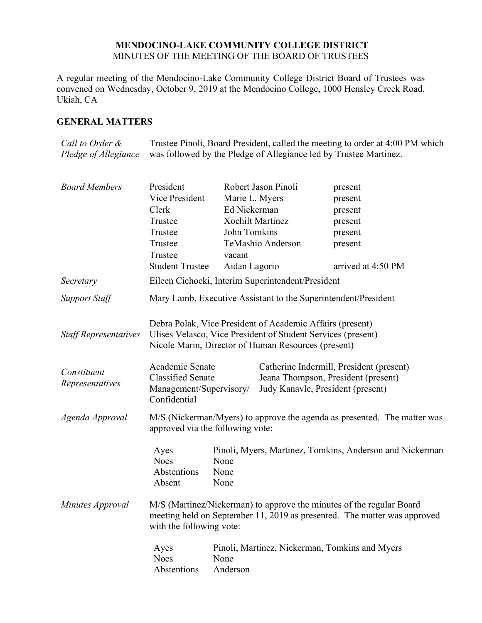### **MENDOCINO-LAKE COMMUNITY COLLEGE DISTRICT** MINUTES OF THE MEETING OF THE BOARD OF TRUSTEES

A regular meeting of the Mendocino-Lake Community College District Board of Trustees was convened on Wednesday, October 9, 2019 at the Mendocino College, 1000 Hensley Creek Road, Ukiah, CA

# **GENERAL MATTERS**

*Call to Order & Pledge of Allegiance* Trustee Pinoli, Board President, called the meeting to order at 4:00 PM which was followed by the Pledge of Allegiance led by Trustee Martinez.

| <b>Board Members</b>           | President                                                                                                                                                                        |                      | Robert Jason Pinoli               | present                                                                         |  |
|--------------------------------|----------------------------------------------------------------------------------------------------------------------------------------------------------------------------------|----------------------|-----------------------------------|---------------------------------------------------------------------------------|--|
|                                | Vice President                                                                                                                                                                   | Marie L. Myers       |                                   | present                                                                         |  |
|                                | Clerk                                                                                                                                                                            | Ed Nickerman         |                                   | present                                                                         |  |
|                                | Trustee                                                                                                                                                                          |                      | <b>Xochilt Martinez</b>           | present                                                                         |  |
|                                | Trustee                                                                                                                                                                          | John Tomkins         |                                   | present                                                                         |  |
|                                | Trustee                                                                                                                                                                          |                      | TeMashio Anderson                 | present                                                                         |  |
|                                | Trustee                                                                                                                                                                          | vacant               |                                   |                                                                                 |  |
|                                | <b>Student Trustee</b>                                                                                                                                                           | Aidan Lagorio        |                                   | arrived at 4:50 PM                                                              |  |
| Secretary                      | Eileen Cichocki, Interim Superintendent/President                                                                                                                                |                      |                                   |                                                                                 |  |
| <b>Support Staff</b>           | Mary Lamb, Executive Assistant to the Superintendent/President                                                                                                                   |                      |                                   |                                                                                 |  |
| <b>Staff Representatives</b>   | Debra Polak, Vice President of Academic Affairs (present)<br>Ulises Velasco, Vice President of Student Services (present)<br>Nicole Marin, Director of Human Resources (present) |                      |                                   |                                                                                 |  |
| Constituent<br>Representatives | Academic Senate<br><b>Classified Senate</b><br>Management/Supervisory/<br>Confidential                                                                                           |                      | Judy Kanavle, President (present) | Catherine Indermill, President (present)<br>Jeana Thompson, President (present) |  |
| Agenda Approval                | M/S (Nickerman/Myers) to approve the agenda as presented. The matter was<br>approved via the following vote:                                                                     |                      |                                   |                                                                                 |  |
|                                | Ayes<br><b>Noes</b><br>Abstentions<br>Absent                                                                                                                                     | None<br>None<br>None |                                   | Pinoli, Myers, Martinez, Tomkins, Anderson and Nickerman                        |  |
| Minutes Approval               | M/S (Martinez/Nickerman) to approve the minutes of the regular Board<br>meeting held on September 11, 2019 as presented. The matter was approved<br>with the following vote:     |                      |                                   |                                                                                 |  |
|                                | Ayes<br><b>Noes</b><br>Abstentions                                                                                                                                               | None<br>Anderson     |                                   | Pinoli, Martinez, Nickerman, Tomkins and Myers                                  |  |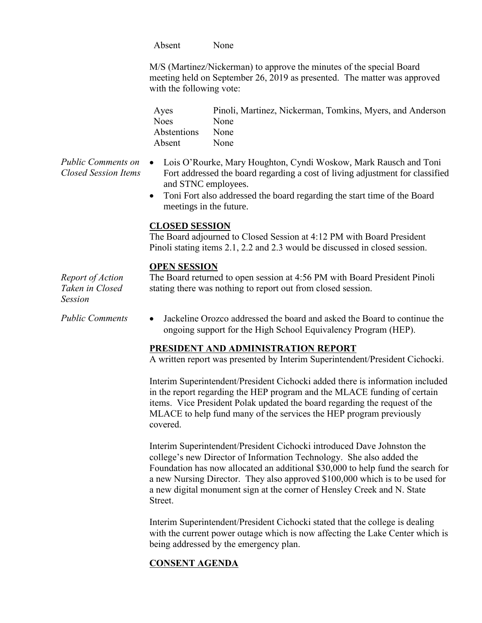Absent None

M/S (Martinez/Nickerman) to approve the minutes of the special Board meeting held on September 26, 2019 as presented. The matter was approved with the following vote:

Ayes Pinoli, Martinez, Nickerman, Tomkins, Myers, and Anderson Noes None Abstentions None Absent None

- *Public Comments on Closed Session Items* Lois O'Rourke, Mary Houghton, Cyndi Woskow, Mark Rausch and Toni Fort addressed the board regarding a cost of living adjustment for classified and STNC employees.
	- Toni Fort also addressed the board regarding the start time of the Board meetings in the future.

#### **CLOSED SESSION**

The Board adjourned to Closed Session at 4:12 PM with Board President Pinoli stating items 2.1, 2.2 and 2.3 would be discussed in closed session.

#### **OPEN SESSION**

*Report of Action Taken in Closed Session* The Board returned to open session at 4:56 PM with Board President Pinoli stating there was nothing to report out from closed session.

*Public Comments* Jackeline Orozco addressed the board and asked the Board to continue the ongoing support for the High School Equivalency Program (HEP).

### **PRESIDENT AND ADMINISTRATION REPORT**

A written report was presented by Interim Superintendent/President Cichocki.

Interim Superintendent/President Cichocki added there is information included in the report regarding the HEP program and the MLACE funding of certain items. Vice President Polak updated the board regarding the request of the MLACE to help fund many of the services the HEP program previously covered.

Interim Superintendent/President Cichocki introduced Dave Johnston the college's new Director of Information Technology. She also added the Foundation has now allocated an additional \$30,000 to help fund the search for a new Nursing Director. They also approved \$100,000 which is to be used for a new digital monument sign at the corner of Hensley Creek and N. State Street.

Interim Superintendent/President Cichocki stated that the college is dealing with the current power outage which is now affecting the Lake Center which is being addressed by the emergency plan.

### **CONSENT AGENDA**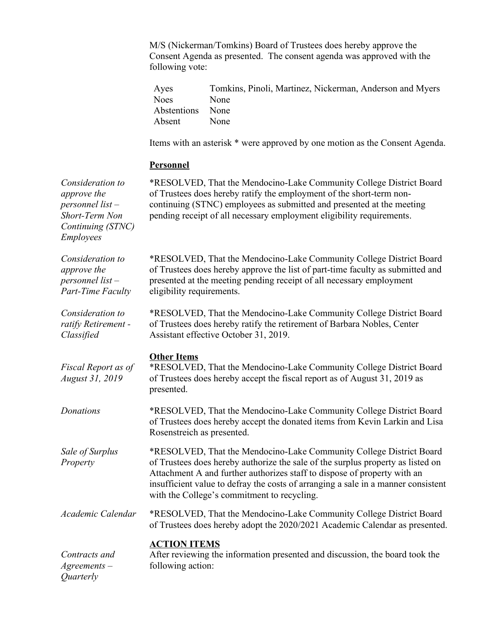M/S (Nickerman/Tomkins) Board of Trustees does hereby approve the Consent Agenda as presented. The consent agenda was approved with the following vote:

| Ayes             | Tomkins, Pinoli, Martinez, Nickerman, Anderson and Myers |
|------------------|----------------------------------------------------------|
| Noes             | None                                                     |
| Abstentions None |                                                          |
| Absent           | <b>None</b>                                              |

Items with an asterisk \* were approved by one motion as the Consent Agenda.

## **Personnel**

| Consideration to<br>approve the<br>personnel list $-$<br>Short-Term Non<br>Continuing (STNC)<br>Employees | *RESOLVED, That the Mendocino-Lake Community College District Board<br>of Trustees does hereby ratify the employment of the short-term non-<br>continuing (STNC) employees as submitted and presented at the meeting<br>pending receipt of all necessary employment eligibility requirements.                                                                          |
|-----------------------------------------------------------------------------------------------------------|------------------------------------------------------------------------------------------------------------------------------------------------------------------------------------------------------------------------------------------------------------------------------------------------------------------------------------------------------------------------|
| Consideration to<br>approve the<br>personnel list $-$<br>Part-Time Faculty                                | *RESOLVED, That the Mendocino-Lake Community College District Board<br>of Trustees does hereby approve the list of part-time faculty as submitted and<br>presented at the meeting pending receipt of all necessary employment<br>eligibility requirements.                                                                                                             |
| Consideration to<br>ratify Retirement -<br>Classified                                                     | *RESOLVED, That the Mendocino-Lake Community College District Board<br>of Trustees does hereby ratify the retirement of Barbara Nobles, Center<br>Assistant effective October 31, 2019.                                                                                                                                                                                |
| Fiscal Report as of<br>August 31, 2019                                                                    | <b>Other Items</b><br>*RESOLVED, That the Mendocino-Lake Community College District Board<br>of Trustees does hereby accept the fiscal report as of August 31, 2019 as<br>presented.                                                                                                                                                                                   |
| <b>Donations</b>                                                                                          | *RESOLVED, That the Mendocino-Lake Community College District Board<br>of Trustees does hereby accept the donated items from Kevin Larkin and Lisa<br>Rosenstreich as presented.                                                                                                                                                                                       |
| Sale of Surplus<br>Property                                                                               | *RESOLVED, That the Mendocino-Lake Community College District Board<br>of Trustees does hereby authorize the sale of the surplus property as listed on<br>Attachment A and further authorizes staff to dispose of property with an<br>insufficient value to defray the costs of arranging a sale in a manner consistent<br>with the College's commitment to recycling. |
| Academic Calendar                                                                                         | *RESOLVED, That the Mendocino-Lake Community College District Board<br>of Trustees does hereby adopt the 2020/2021 Academic Calendar as presented.                                                                                                                                                                                                                     |
| Contracts and<br>$A$ greements $-$<br><i><u>Ouarterly</u></i>                                             | <b>ACTION ITEMS</b><br>After reviewing the information presented and discussion, the board took the<br>following action:                                                                                                                                                                                                                                               |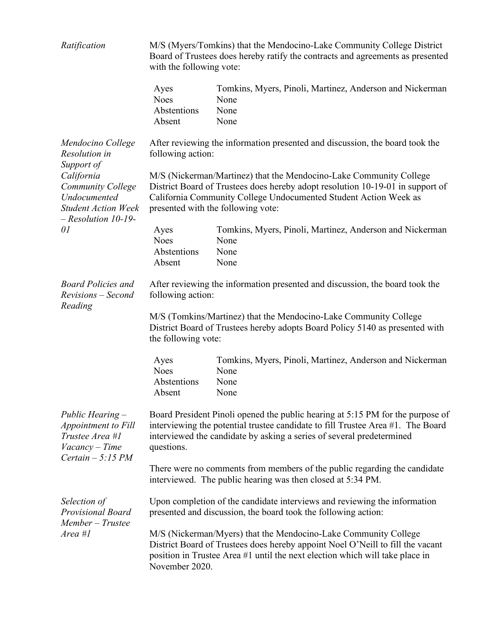| Ratification                                                                                                  | M/S (Myers/Tomkins) that the Mendocino-Lake Community College District<br>Board of Trustees does hereby ratify the contracts and agreements as presented<br>with the following vote:                                                                           |                                                                                  |  |  |
|---------------------------------------------------------------------------------------------------------------|----------------------------------------------------------------------------------------------------------------------------------------------------------------------------------------------------------------------------------------------------------------|----------------------------------------------------------------------------------|--|--|
|                                                                                                               | Ayes<br><b>Noes</b><br>Abstentions<br>Absent                                                                                                                                                                                                                   | Tomkins, Myers, Pinoli, Martinez, Anderson and Nickerman<br>None<br>None<br>None |  |  |
| Mendocino College<br>Resolution in<br>Support of                                                              | After reviewing the information presented and discussion, the board took the<br>following action:                                                                                                                                                              |                                                                                  |  |  |
| California<br><b>Community College</b><br>Undocumented<br><b>Student Action Week</b><br>$-$ Resolution 10-19- | M/S (Nickerman/Martinez) that the Mendocino-Lake Community College<br>District Board of Trustees does hereby adopt resolution 10-19-01 in support of<br>California Community College Undocumented Student Action Week as<br>presented with the following vote: |                                                                                  |  |  |
| 01                                                                                                            | Ayes<br><b>Noes</b><br>Abstentions<br>Absent                                                                                                                                                                                                                   | Tomkins, Myers, Pinoli, Martinez, Anderson and Nickerman<br>None<br>None<br>None |  |  |
| <b>Board Policies and</b><br>Revisions – Second                                                               | After reviewing the information presented and discussion, the board took the<br>following action:                                                                                                                                                              |                                                                                  |  |  |
| Reading                                                                                                       | M/S (Tomkins/Martinez) that the Mendocino-Lake Community College<br>District Board of Trustees hereby adopts Board Policy 5140 as presented with<br>the following vote:                                                                                        |                                                                                  |  |  |
|                                                                                                               | Ayes<br><b>Noes</b><br>Abstentions<br>Absent                                                                                                                                                                                                                   | Tomkins, Myers, Pinoli, Martinez, Anderson and Nickerman<br>None<br>None<br>None |  |  |
| Public Hearing -<br>Appointment to Fill<br>Trustee Area #1<br>Vacancy - Time<br>Certain $-5:15 PM$            | Board President Pinoli opened the public hearing at 5:15 PM for the purpose of<br>interviewing the potential trustee candidate to fill Trustee Area #1. The Board<br>interviewed the candidate by asking a series of several predetermined<br>questions.       |                                                                                  |  |  |
|                                                                                                               | There were no comments from members of the public regarding the candidate<br>interviewed. The public hearing was then closed at 5:34 PM.                                                                                                                       |                                                                                  |  |  |
| Selection of<br>Provisional Board<br>Member - Trustee<br>$Area$ #1                                            | Upon completion of the candidate interviews and reviewing the information<br>presented and discussion, the board took the following action:                                                                                                                    |                                                                                  |  |  |
|                                                                                                               | M/S (Nickerman/Myers) that the Mendocino-Lake Community College<br>District Board of Trustees does hereby appoint Noel O'Neill to fill the vacant<br>position in Trustee Area #1 until the next election which will take place in<br>November 2020.            |                                                                                  |  |  |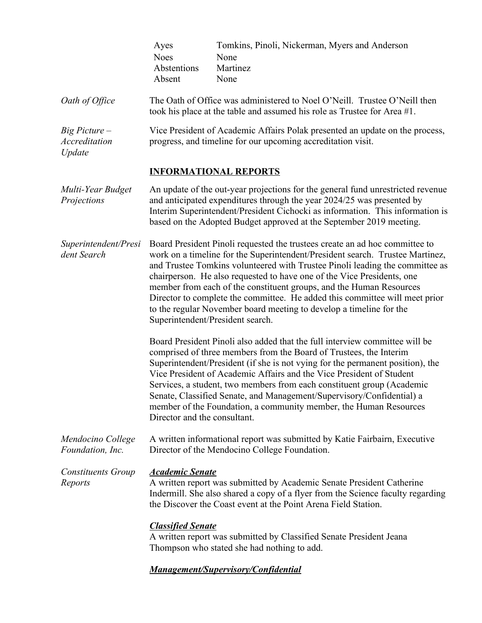|                                              | Ayes<br><b>Noes</b><br>Abstentions<br>Absent                                                                                                                                                                                                                                                                                                                                                                                                                                                                                                                                            | Tomkins, Pinoli, Nickerman, Myers and Anderson<br>None<br>Martinez<br>None                                                                                                                                                                                                                                                                                                                                                                                                                                                          |  |
|----------------------------------------------|-----------------------------------------------------------------------------------------------------------------------------------------------------------------------------------------------------------------------------------------------------------------------------------------------------------------------------------------------------------------------------------------------------------------------------------------------------------------------------------------------------------------------------------------------------------------------------------------|-------------------------------------------------------------------------------------------------------------------------------------------------------------------------------------------------------------------------------------------------------------------------------------------------------------------------------------------------------------------------------------------------------------------------------------------------------------------------------------------------------------------------------------|--|
| Oath of Office                               | The Oath of Office was administered to Noel O'Neill. Trustee O'Neill then<br>took his place at the table and assumed his role as Trustee for Area #1.                                                                                                                                                                                                                                                                                                                                                                                                                                   |                                                                                                                                                                                                                                                                                                                                                                                                                                                                                                                                     |  |
| $Big$ Picture $-$<br>Accreditation<br>Update | Vice President of Academic Affairs Polak presented an update on the process,<br>progress, and timeline for our upcoming accreditation visit.                                                                                                                                                                                                                                                                                                                                                                                                                                            |                                                                                                                                                                                                                                                                                                                                                                                                                                                                                                                                     |  |
|                                              | <b>INFORMATIONAL REPORTS</b>                                                                                                                                                                                                                                                                                                                                                                                                                                                                                                                                                            |                                                                                                                                                                                                                                                                                                                                                                                                                                                                                                                                     |  |
| Multi-Year Budget<br>Projections             | An update of the out-year projections for the general fund unrestricted revenue<br>and anticipated expenditures through the year 2024/25 was presented by<br>Interim Superintendent/President Cichocki as information. This information is<br>based on the Adopted Budget approved at the September 2019 meeting.                                                                                                                                                                                                                                                                       |                                                                                                                                                                                                                                                                                                                                                                                                                                                                                                                                     |  |
| Superintendent/Presi<br>dent Search          | Board President Pinoli requested the trustees create an ad hoc committee to<br>work on a timeline for the Superintendent/President search. Trustee Martinez,<br>and Trustee Tomkins volunteered with Trustee Pinoli leading the committee as<br>chairperson. He also requested to have one of the Vice Presidents, one<br>member from each of the constituent groups, and the Human Resources<br>Director to complete the committee. He added this committee will meet prior<br>to the regular November board meeting to develop a timeline for the<br>Superintendent/President search. |                                                                                                                                                                                                                                                                                                                                                                                                                                                                                                                                     |  |
|                                              | Director and the consultant.                                                                                                                                                                                                                                                                                                                                                                                                                                                                                                                                                            | Board President Pinoli also added that the full interview committee will be<br>comprised of three members from the Board of Trustees, the Interim<br>Superintendent/President (if she is not vying for the permanent position), the<br>Vice President of Academic Affairs and the Vice President of Student<br>Services, a student, two members from each constituent group (Academic<br>Senate, Classified Senate, and Management/Supervisory/Confidential) a<br>member of the Foundation, a community member, the Human Resources |  |
| Mendocino College<br>Foundation, Inc.        | A written informational report was submitted by Katie Fairbairn, Executive<br>Director of the Mendocino College Foundation.                                                                                                                                                                                                                                                                                                                                                                                                                                                             |                                                                                                                                                                                                                                                                                                                                                                                                                                                                                                                                     |  |
| <b>Constituents Group</b><br>Reports         | <b>Academic Senate</b>                                                                                                                                                                                                                                                                                                                                                                                                                                                                                                                                                                  | A written report was submitted by Academic Senate President Catherine<br>Indermill. She also shared a copy of a flyer from the Science faculty regarding<br>the Discover the Coast event at the Point Arena Field Station.                                                                                                                                                                                                                                                                                                          |  |
|                                              | <b>Classified Senate</b>                                                                                                                                                                                                                                                                                                                                                                                                                                                                                                                                                                | A written report was submitted by Classified Senate President Jeana<br>Thompson who stated she had nothing to add.                                                                                                                                                                                                                                                                                                                                                                                                                  |  |
|                                              |                                                                                                                                                                                                                                                                                                                                                                                                                                                                                                                                                                                         | <b>Management/Supervisory/Confidential</b>                                                                                                                                                                                                                                                                                                                                                                                                                                                                                          |  |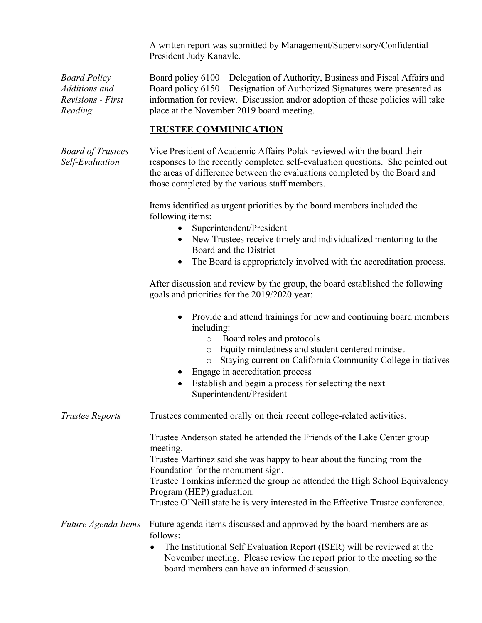A written report was submitted by Management/Supervisory/Confidential President Judy Kanavle.

*Board Policy Additions and Revisions - First Reading*

Board policy 6100 – Delegation of Authority, Business and Fiscal Affairs and Board policy 6150 – Designation of Authorized Signatures were presented as information for review. Discussion and/or adoption of these policies will take place at the November 2019 board meeting.

# **TRUSTEE COMMUNICATION**

Vice President of Academic Affairs Polak reviewed with the board their responses to the recently completed self-evaluation questions. She pointed out the areas of difference between the evaluations completed by the Board and those completed by the various staff members.

Items identified as urgent priorities by the board members included the following items:

- Superintendent/President
- New Trustees receive timely and individualized mentoring to the Board and the District
- The Board is appropriately involved with the accreditation process.

After discussion and review by the group, the board established the following goals and priorities for the 2019/2020 year:

- Provide and attend trainings for new and continuing board members including:
	- o Board roles and protocols
	- o Equity mindedness and student centered mindset
	- o Staying current on California Community College initiatives
- Engage in accreditation process
- Establish and begin a process for selecting the next Superintendent/President

*Trustee Reports* Trustees commented orally on their recent college-related activities.

Trustee Anderson stated he attended the Friends of the Lake Center group meeting.

Trustee Martinez said she was happy to hear about the funding from the Foundation for the monument sign.

Trustee Tomkins informed the group he attended the High School Equivalency Program (HEP) graduation.

Trustee O'Neill state he is very interested in the Effective Trustee conference.

## *Future Agenda Items* Future agenda items discussed and approved by the board members are as follows:

• The Institutional Self Evaluation Report (ISER) will be reviewed at the November meeting. Please review the report prior to the meeting so the board members can have an informed discussion.

*Board of Trustees Self-Evaluation*